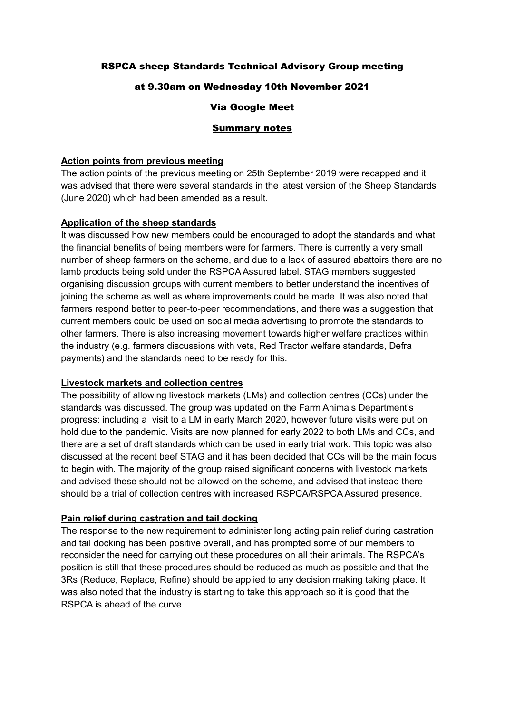# RSPCA sheep Standards Technical Advisory Group meeting

## at 9.30am on Wednesday 10th November 2021

## Via Google Meet

#### Summary notes

#### **Action points from previous meeting**

The action points of the previous meeting on 25th September 2019 were recapped and it was advised that there were several standards in the latest version of the Sheep Standards (June 2020) which had been amended as a result.

#### **Application of the sheep standards**

It was discussed how new members could be encouraged to adopt the standards and what the financial benefits of being members were for farmers. There is currently a very small number of sheep farmers on the scheme, and due to a lack of assured abattoirs there are no lamb products being sold under the RSPCA Assured label. STAG members suggested organising discussion groups with current members to better understand the incentives of joining the scheme as well as where improvements could be made. It was also noted that farmers respond better to peer-to-peer recommendations, and there was a suggestion that current members could be used on social media advertising to promote the standards to other farmers. There is also increasing movement towards higher welfare practices within the industry (e.g. farmers discussions with vets, Red Tractor welfare standards, Defra payments) and the standards need to be ready for this.

#### **Livestock markets and collection centres**

The possibility of allowing livestock markets (LMs) and collection centres (CCs) under the standards was discussed. The group was updated on the Farm Animals Department's progress: including a visit to a LM in early March 2020, however future visits were put on hold due to the pandemic. Visits are now planned for early 2022 to both LMs and CCs, and there are a set of draft standards which can be used in early trial work. This topic was also discussed at the recent beef STAG and it has been decided that CCs will be the main focus to begin with. The majority of the group raised significant concerns with livestock markets and advised these should not be allowed on the scheme, and advised that instead there should be a trial of collection centres with increased RSPCA/RSPCA Assured presence.

#### **Pain relief during castration and tail docking**

The response to the new requirement to administer long acting pain relief during castration and tail docking has been positive overall, and has prompted some of our members to reconsider the need for carrying out these procedures on all their animals. The RSPCA's position is still that these procedures should be reduced as much as possible and that the 3Rs (Reduce, Replace, Refine) should be applied to any decision making taking place. It was also noted that the industry is starting to take this approach so it is good that the RSPCA is ahead of the curve.